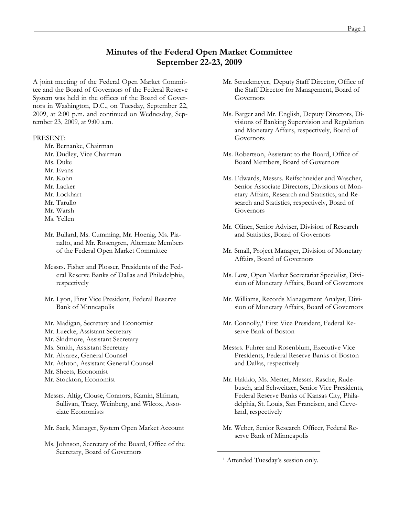# **Minutes of the Federal Open Market Committee September 22-23, 2009**

A joint meeting of the Federal Open Market Committee and the Board of Governors of the Federal Reserve System was held in the offices of the Board of Governors in Washington, D.C., on Tuesday, September 22, 2009, at 2:00 p.m. and continued on Wednesday, September 23, 2009, at 9:00 a.m.

#### PRESENT:

- Mr. Bernanke, Chairman
- Mr. Dudley, Vice Chairman
- Ms. Duke
- Mr. Evans
- Mr. Kohn
- Mr. Lacker
- Mr. Lockhart
- Mr. Tarullo
- Mr. Warsh
- Ms. Yellen
- Mr. Bullard, Ms. Cumming, Mr. Hoenig, Ms. Pianalto, and Mr. Rosengren, Alternate Members of the Federal Open Market Committee
- Messrs. Fisher and Plosser, Presidents of the Federal Reserve Banks of Dallas and Philadelphia, respectively
- Mr. Lyon, First Vice President, Federal Reserve Bank of Minneapolis
- Mr. Madigan, Secretary and Economist
- Mr. Luecke, Assistant Secretary
- Mr. Skidmore, Assistant Secretary
- Ms. Smith, Assistant Secretary
- Mr. Alvarez, General Counsel
- Mr. Ashton, Assistant General Counsel
- Mr. Sheets, Economist
- Mr. Stockton, Economist
- Messrs. Altig, Clouse, Connors, Kamin, Slifman, Sullivan, Tracy, Weinberg, and Wilcox, Associate Economists
- Mr. Sack, Manager, System Open Market Account
- Ms. Johnson, Secretary of the Board, Office of the Secretary, Board of Governors
- Mr. Struckmeyer, Deputy Staff Director, Office of the Staff Director for Management, Board of Governors
- Ms. Barger and Mr. English, Deputy Directors, Divisions of Banking Supervision and Regulation and Monetary Affairs, respectively, Board of Governors
- Ms. Robertson, Assistant to the Board, Office of Board Members, Board of Governors
- Ms. Edwards, Messrs. Reifschneider and Wascher, Senior Associate Directors, Divisions of Monetary Affairs, Research and Statistics, and Research and Statistics, respectively, Board of Governors
- Mr. Oliner, Senior Adviser, Division of Research and Statistics, Board of Governors
- Mr. Small, Project Manager, Division of Monetary Affairs, Board of Governors
- Ms. Low, Open Market Secretariat Specialist, Division of Monetary Affairs, Board of Governors
- Mr. Williams, Records Management Analyst, Division of Monetary Affairs, Board of Governors
- Mr. Connolly,<sup>1</sup> First Vice President, Federal Reserve Bank of Boston
- Messrs. Fuhrer and Rosenblum, Executive Vice Presidents, Federal Reserve Banks of Boston and Dallas, respectively
- Mr. Hakkio, Ms. Mester, Messrs. Rasche, Rudebusch, and Schweitzer, Senior Vice Presidents, Federal Reserve Banks of Kansas City, Philadelphia, St. Louis, San Francisco, and Cleveland, respectively
- Mr. Weber, Senior Research Officer, Federal Reserve Bank of Minneapolis

<sup>&</sup>lt;sup>1</sup> Attended Tuesday's session only.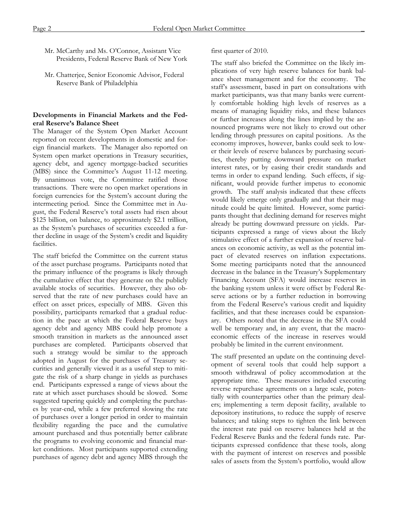- Mr. McCarthy and Ms. O'Connor, Assistant Vice Presidents, Federal Reserve Bank of New York
- Mr. Chatterjee, Senior Economic Advisor, Federal Reserve Bank of Philadelphia

### **Developments in Financial Markets and the Federal Reserve's Balance Sheet**

The Manager of the System Open Market Account reported on recent developments in domestic and foreign financial markets. The Manager also reported on System open market operations in Treasury securities, agency debt, and agency mortgage-backed securities (MBS) since the Committee's August 11-12 meeting. By unanimous vote, the Committee ratified those transactions. There were no open market operations in foreign currencies for the System's account during the intermeeting period. Since the Committee met in August, the Federal Reserve's total assets had risen about \$125 billion, on balance, to approximately \$2.1 trillion, as the System's purchases of securities exceeded a further decline in usage of the System's credit and liquidity facilities.

The staff briefed the Committee on the current status of the asset purchase programs. Participants noted that the primary influence of the programs is likely through the cumulative effect that they generate on the publicly available stocks of securities. However, they also observed that the rate of new purchases could have an effect on asset prices, especially of MBS. Given this possibility, participants remarked that a gradual reduction in the pace at which the Federal Reserve buys agency debt and agency MBS could help promote a smooth transition in markets as the announced asset purchases are completed. Participants observed that such a strategy would be similar to the approach adopted in August for the purchases of Treasury securities and generally viewed it as a useful step to mitigate the risk of a sharp change in yields as purchases end. Participants expressed a range of views about the rate at which asset purchases should be slowed. Some suggested tapering quickly and completing the purchases by year-end, while a few preferred slowing the rate of purchases over a longer period in order to maintain flexibility regarding the pace and the cumulative amount purchased and thus potentially better calibrate the programs to evolving economic and financial market conditions. Most participants supported extending purchases of agency debt and agency MBS through the

### first quarter of 2010.

The staff also briefed the Committee on the likely implications of very high reserve balances for bank balance sheet management and for the economy. The staff's assessment, based in part on consultations with market participants, was that many banks were currently comfortable holding high levels of reserves as a means of managing liquidity risks, and these balances or further increases along the lines implied by the announced programs were not likely to crowd out other lending through pressures on capital positions. As the economy improves, however, banks could seek to lower their levels of reserve balances by purchasing securities, thereby putting downward pressure on market interest rates, or by easing their credit standards and terms in order to expand lending. Such effects, if significant, would provide further impetus to economic growth. The staff analysis indicated that these effects would likely emerge only gradually and that their magnitude could be quite limited. However, some participants thought that declining demand for reserves might already be putting downward pressure on yields. Participants expressed a range of views about the likely stimulative effect of a further expansion of reserve balances on economic activity, as well as the potential impact of elevated reserves on inflation expectations. Some meeting participants noted that the announced decrease in the balance in the Treasury's Supplementary Financing Account (SFA) would increase reserves in the banking system unless it were offset by Federal Reserve actions or by a further reduction in borrowing from the Federal Reserve's various credit and liquidity facilities, and that these increases could be expansionary. Others noted that the decrease in the SFA could well be temporary and, in any event, that the macroeconomic effects of the increase in reserves would probably be limited in the current environment.

The staff presented an update on the continuing development of several tools that could help support a smooth withdrawal of policy accommodation at the appropriate time. These measures included executing reverse repurchase agreements on a large scale, potentially with counterparties other than the primary dealers; implementing a term deposit facility, available to depository institutions, to reduce the supply of reserve balances; and taking steps to tighten the link between the interest rate paid on reserve balances held at the Federal Reserve Banks and the federal funds rate. Participants expressed confidence that these tools, along with the payment of interest on reserves and possible sales of assets from the System's portfolio, would allow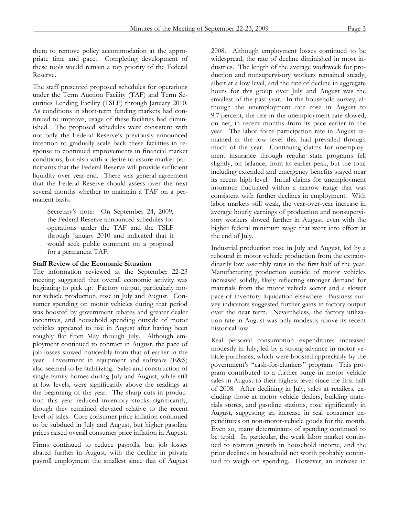them to remove policy accommodation at the appropriate time and pace. Completing development of these tools would remain a top priority of the Federal Reserve.

The staff presented proposed schedules for operations under the Term Auction Facility (TAF) and Term Securities Lending Facility (TSLF) through January 2010. As conditions in short-term funding markets had continued to improve, usage of these facilities had diminished. The proposed schedules were consistent with not only the Federal Reserve's previously announced intention to gradually scale back these facilities in response to continued improvements in financial market conditions, but also with a desire to assure market participants that the Federal Reserve will provide sufficient liquidity over year-end. There was general agreement that the Federal Reserve should assess over the next several months whether to maintain a TAF on a permanent basis.

Secretary's note: On September 24, 2009, the Federal Reserve announced schedules for operations under the TAF and the TSLF through January 2010 and indicated that it would seek public comment on a proposal for a permanent TAF.

## **Staff Review of the Economic Situation**

The information reviewed at the September 22-23 meeting suggested that overall economic activity was beginning to pick up. Factory output, particularly motor vehicle production, rose in July and August. Consumer spending on motor vehicles during that period was boosted by government rebates and greater dealer incentives, and household spending outside of motor vehicles appeared to rise in August after having been roughly flat from May through July. Although employment continued to contract in August, the pace of job losses slowed noticeably from that of earlier in the year. Investment in equipment and software (E&S) also seemed to be stabilizing. Sales and construction of single-family homes during July and August, while still at low levels, were significantly above the readings at the beginning of the year. The sharp cuts in production this year reduced inventory stocks significantly, though they remained elevated relative to the recent level of sales. Core consumer price inflation continued to be subdued in July and August, but higher gasoline prices raised overall consumer price inflation in August.

Firms continued to reduce payrolls, but job losses abated further in August, with the decline in private payroll employment the smallest since that of August

2008. Although employment losses continued to be widespread, the rate of decline diminished in most industries. The length of the average workweek for production and nonsupervisory workers remained steady, albeit at a low level, and the rate of decline in aggregate hours for this group over July and August was the smallest of the past year. In the household survey, although the unemployment rate rose in August to 9.7 percent, the rise in the unemployment rate slowed, on net, in recent months from its pace earlier in the year. The labor force participation rate in August remained at the low level that had prevailed through much of the year. Continuing claims for unemployment insurance through regular state programs fell slightly, on balance, from its earlier peak, but the total including extended and emergency benefits stayed near its recent high level. Initial claims for unemployment insurance fluctuated within a narrow range that was consistent with further declines in employment. With labor markets still weak, the year-over-year increase in average hourly earnings of production and nonsupervisory workers slowed further in August, even with the higher federal minimum wage that went into effect at the end of July.

Industrial production rose in July and August, led by a rebound in motor vehicle production from the extraordinarily low assembly rates in the first half of the year. Manufacturing production outside of motor vehicles increased solidly, likely reflecting stronger demand for materials from the motor vehicle sector and a slower pace of inventory liquidation elsewhere. Business survey indicators suggested further gains in factory output over the near term. Nevertheless, the factory utilization rate in August was only modestly above its recent historical low.

Real personal consumption expenditures increased modestly in July, led by a strong advance in motor vehicle purchases, which were boosted appreciably by the government's "cash-for-clunkers" program. This program contributed to a further surge in motor vehicle sales in August to their highest level since the first half of 2008. After declining in July, sales at retailers, excluding those at motor vehicle dealers, building materials stores, and gasoline stations, rose significantly in August, suggesting an increase in real consumer expenditures on non-motor-vehicle goods for the month. Even so, many determinants of spending continued to be tepid. In particular, the weak labor market continued to restrain growth in household income, and the prior declines in household net worth probably continued to weigh on spending. However, an increase in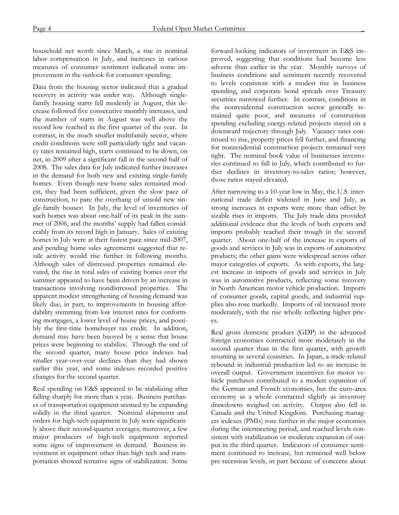household net worth since March, a rise in nominal labor compensation in July, and increases in various measures of consumer sentiment indicated some improvement in the outlook for consumer spending.

Data from the housing sector indicated that a gradual recovery in activity was under way. Although singlefamily housing starts fell modestly in August, this decrease followed five consecutive monthly increases, and the number of starts in August was well above the record low reached in the first quarter of the year. In contrast, in the much smaller multifamily sector, where credit conditions were still particularly tight and vacancy rates remained high, starts continued to be down, on net, in 2009 after a significant fall in the second half of 2008. The sales data for July indicated further increases in the demand for both new and existing single-family homes. Even though new home sales remained modest, they had been sufficient, given the slow pace of construction, to pare the overhang of unsold new single-family houses: In July, the level of inventories of such homes was about one-half of its peak in the summer of 2006, and the months' supply had fallen considerably from its record high in January. Sales of existing homes in July were at their fastest pace since mid-2007, and pending home sales agreements suggested that resale activity would rise further in following months. Although sales of distressed properties remained elevated, the rise in total sales of existing homes over the summer appeared to have been driven by an increase in transactions involving nondistressed properties. The apparent modest strengthening of housing demand was likely due, in part, to improvements in housing affordability stemming from low interest rates for conforming mortgages, a lower level of house prices, and possibly the first-time homebuyer tax credit. In addition, demand may have been buoyed by a sense that house prices were beginning to stabilize. Through the end of the second quarter, many house price indexes had smaller year-over-year declines than they had shown earlier this year, and some indexes recorded positive changes for the second quarter.

Real spending on E&S appeared to be stabilizing after falling sharply for more than a year. Business purchases of transportation equipment seemed to be expanding solidly in the third quarter. Nominal shipments and orders for high-tech equipment in July were significantly above their second-quarter averages; moreover, a few major producers of high-tech equipment reported some signs of improvement in demand. Business investment in equipment other than high tech and transportation showed tentative signs of stabilization. Some forward-looking indicators of investment in E&S improved, suggesting that conditions had become less adverse than earlier in the year. Monthly surveys of business conditions and sentiment recently recovered to levels consistent with a modest rise in business spending, and corporate bond spreads over Treasury securities narrowed further. In contrast, conditions in the nonresidential construction sector generally remained quite poor, and measures of construction spending excluding energy-related projects stayed on a downward trajectory through July. Vacancy rates continued to rise, property prices fell further, and financing for nonresidential construction projects remained very tight. The nominal book value of businesses inventories continued to fall in July, which contributed to further declines in inventory-to-sales ratios; however, those ratios stayed elevated.

After narrowing to a 10-year low in May, the U.S. international trade deficit widened in June and July, as strong increases in exports were more than offset by sizable rises in imports. The July trade data provided additional evidence that the levels of both exports and imports probably reached their trough in the second quarter. About one-half of the increase in exports of goods and services in July was in exports of automotive products; the other gains were widespread across other major categories of exports. As with exports, the largest increase in imports of goods and services in July was in automotive products, reflecting some recovery in North American motor vehicle production. Imports of consumer goods, capital goods, and industrial supplies also rose markedly. Imports of oil increased more moderately, with the rise wholly reflecting higher prices.

Real gross domestic product (GDP) in the advanced foreign economies contracted more moderately in the second quarter than in the first quarter, with growth resuming in several countries. In Japan, a trade-related rebound in industrial production led to an increase in overall output. Government incentives for motor vehicle purchases contributed to a modest expansion of the German and French economies, but the euro-area economy as a whole contracted slightly as inventory drawdowns weighed on activity. Output also fell in Canada and the United Kingdom. Purchasing managers indexes (PMIs) rose further in the major economies during the intermeeting period, and reached levels consistent with stabilization or moderate expansion of output in the third quarter. Indicators of consumer sentiment continued to increase, but remained well below pre-recession levels, in part because of concerns about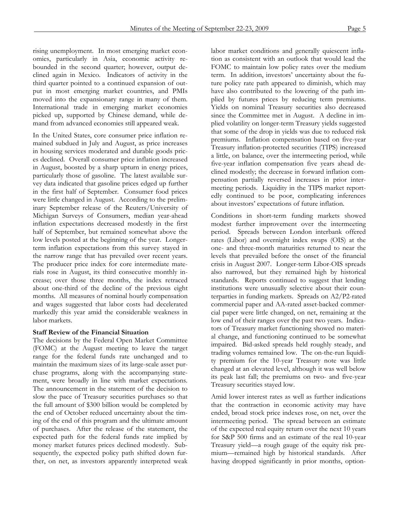rising unemployment. In most emerging market economies, particularly in Asia, economic activity rebounded in the second quarter; however, output declined again in Mexico. Indicators of activity in the third quarter pointed to a continued expansion of output in most emerging market countries, and PMIs moved into the expansionary range in many of them. International trade in emerging market economies picked up, supported by Chinese demand, while demand from advanced economies still appeared weak.

In the United States, core consumer price inflation remained subdued in July and August, as price increases in housing services moderated and durable goods prices declined. Overall consumer price inflation increased in August, boosted by a sharp upturn in energy prices, particularly those of gasoline. The latest available survey data indicated that gasoline prices edged up further in the first half of September. Consumer food prices were little changed in August. According to the preliminary September release of the Reuters/University of Michigan Surveys of Consumers, median year-ahead inflation expectations decreased modestly in the first half of September, but remained somewhat above the low levels posted at the beginning of the year. Longerterm inflation expectations from this survey stayed in the narrow range that has prevailed over recent years. The producer price index for core intermediate materials rose in August, its third consecutive monthly increase; over those three months, the index retraced about one-third of the decline of the previous eight months. All measures of nominal hourly compensation and wages suggested that labor costs had decelerated markedly this year amid the considerable weakness in labor markets.

## **Staff Review of the Financial Situation**

The decisions by the Federal Open Market Committee (FOMC) at the August meeting to leave the target range for the federal funds rate unchanged and to maintain the maximum sizes of its large-scale asset purchase programs, along with the accompanying statement, were broadly in line with market expectations. The announcement in the statement of the decision to slow the pace of Treasury securities purchases so that the full amount of \$300 billion would be completed by the end of October reduced uncertainty about the timing of the end of this program and the ultimate amount of purchases. After the release of the statement, the expected path for the federal funds rate implied by money market futures prices declined modestly. Subsequently, the expected policy path shifted down further, on net, as investors apparently interpreted weak labor market conditions and generally quiescent inflation as consistent with an outlook that would lead the FOMC to maintain low policy rates over the medium term. In addition, investors' uncertainty about the future policy rate path appeared to diminish, which may have also contributed to the lowering of the path implied by futures prices by reducing term premiums. Yields on nominal Treasury securities also decreased since the Committee met in August. A decline in implied volatility on longer-term Treasury yields suggested that some of the drop in yields was due to reduced risk premiums. Inflation compensation based on five-year Treasury inflation-protected securities (TIPS) increased a little, on balance, over the intermeeting period, while five-year inflation compensation five years ahead declined modestly; the decrease in forward inflation compensation partially reversed increases in prior intermeeting periods. Liquidity in the TIPS market reportedly continued to be poor, complicating inferences about investors' expectations of future inflation.

Conditions in short-term funding markets showed modest further improvement over the intermeeting period. Spreads between London interbank offered rates (Libor) and overnight index swaps (OIS) at the one- and three-month maturities returned to near the levels that prevailed before the onset of the financial crisis in August 2007. Longer-term Libor-OIS spreads also narrowed, but they remained high by historical standards. Reports continued to suggest that lending institutions were unusually selective about their counterparties in funding markets. Spreads on A2/P2-rated commercial paper and AA-rated asset-backed commercial paper were little changed, on net, remaining at the low end of their ranges over the past two years. Indicators of Treasury market functioning showed no material change, and functioning continued to be somewhat impaired. Bid-asked spreads held roughly steady, and trading volumes remained low. The on-the-run liquidity premium for the 10-year Treasury note was little changed at an elevated level, although it was well below its peak last fall; the premiums on two- and five-year Treasury securities stayed low.

Amid lower interest rates as well as further indications that the contraction in economic activity may have ended, broad stock price indexes rose, on net, over the intermeeting period. The spread between an estimate of the expected real equity return over the next 10 years for S&P 500 firms and an estimate of the real 10-year Treasury yield—a rough gauge of the equity risk premium—remained high by historical standards. After having dropped significantly in prior months, option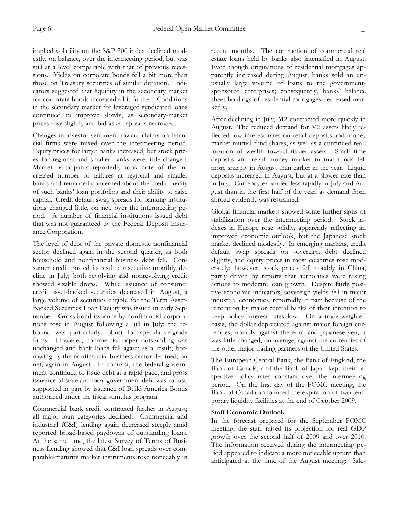implied volatility on the S&P 500 index declined modestly, on balance, over the intermeeting period, but was still at a level comparable with that of previous recessions. Yields on corporate bonds fell a bit more than those on Treasury securities of similar duration. Indicators suggested that liquidity in the secondary market for corporate bonds increased a bit further. Conditions in the secondary market for leveraged syndicated loans continued to improve slowly, as secondary-market prices rose slightly and bid-asked spreads narrowed.

Changes in investor sentiment toward claims on financial firms were mixed over the intermeeting period. Equity prices for larger banks increased, but stock prices for regional and smaller banks were little changed. Market participants reportedly took note of the increased number of failures at regional and smaller banks and remained concerned about the credit quality of such banks' loan portfolios and their ability to raise capital. Credit default swap spreads for banking institutions changed little, on net, over the intermeeting period. A number of financial institutions issued debt that was not guaranteed by the Federal Deposit Insurance Corporation.

The level of debt of the private domestic nonfinancial sector declined again in the second quarter, as both household and nonfinancial business debt fell. Consumer credit posted its sixth consecutive monthly decline in July; both revolving and nonrevolving credit showed sizable drops. While issuance of consumer credit asset-backed securities decreased in August, a large volume of securities eligible for the Term Asset-Backed Securities Loan Facility was issued in early September. Gross bond issuance by nonfinancial corporations rose in August following a lull in July; the rebound was particularly robust for speculative-grade firms. However, commercial paper outstanding was unchanged and bank loans fell again; as a result, borrowing by the nonfinancial business sector declined, on net, again in August. In contrast, the federal government continued to issue debt at a rapid pace, and gross issuance of state and local government debt was robust, supported in part by issuance of Build America Bonds authorized under the fiscal stimulus program.

Commercial bank credit contracted further in August; all major loan categories declined. Commercial and industrial (C&I) lending again decreased steeply amid reported broad-based paydowns of outstanding loans. At the same time, the latest Survey of Terms of Business Lending showed that C&I loan spreads over comparable-maturity market instruments rose noticeably in

recent months. The contraction of commercial real estate loans held by banks also intensified in August. Even though originations of residential mortgages apparently increased during August, banks sold an unusually large volume of loans to the governmentsponsored enterprises; consequently, banks' balance sheet holdings of residential mortgages decreased markedly.

After declining in July, M2 contracted more quickly in August. The reduced demand for M2 assets likely reflected low interest rates on retail deposits and money market mutual fund shares, as well as a continued reallocation of wealth toward riskier assets. Small time deposits and retail money market mutual funds fell more sharply in August than earlier in the year. Liquid deposits increased in August, but at a slower rate than in July. Currency expanded less rapidly in July and August than in the first half of the year, as demand from abroad evidently was restrained.

Global financial markets showed some further signs of stabilization over the intermeeting period. Stock indexes in Europe rose solidly, apparently reflecting an improved economic outlook, but the Japanese stock market declined modestly. In emerging markets, credit default swap spreads on sovereign debt declined slightly, and equity prices in most countries rose moderately; however, stock prices fell notably in China, partly driven by reports that authorities were taking actions to moderate loan growth. Despite fairly positive economic indicators, sovereign yields fell in major industrial economies, reportedly in part because of the reiteration by major central banks of their intention to keep policy interest rates low. On a trade-weighted basis, the dollar depreciated against major foreign currencies, notably against the euro and Japanese yen; it was little changed, on average, against the currencies of the other major trading partners of the United States.

The European Central Bank, the Bank of England, the Bank of Canada, and the Bank of Japan kept their respective policy rates constant over the intermeeting period. On the first day of the FOMC meeting, the Bank of Canada announced the expiration of two temporary liquidity facilities at the end of October 2009.

## **Staff Economic Outlook**

In the forecast prepared for the September FOMC meeting, the staff raised its projection for real GDP growth over the second half of 2009 and over 2010. The information received during the intermeeting period appeared to indicate a more noticeable upturn than anticipated at the time of the August meeting: Sales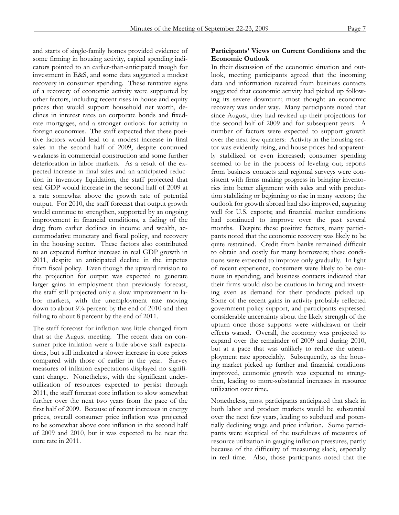and starts of single-family homes provided evidence of some firming in housing activity, capital spending indicators pointed to an earlier-than-anticipated trough for investment in E&S, and some data suggested a modest recovery in consumer spending. These tentative signs of a recovery of economic activity were supported by other factors, including recent rises in house and equity prices that would support household net worth, declines in interest rates on corporate bonds and fixedrate mortgages, and a stronger outlook for activity in foreign economies. The staff expected that these positive factors would lead to a modest increase in final sales in the second half of 2009, despite continued weakness in commercial construction and some further deterioration in labor markets. As a result of the expected increase in final sales and an anticipated reduction in inventory liquidation, the staff projected that real GDP would increase in the second half of 2009 at a rate somewhat above the growth rate of potential output. For 2010, the staff forecast that output growth would continue to strengthen, supported by an ongoing improvement in financial conditions, a fading of the drag from earlier declines in income and wealth, accommodative monetary and fiscal policy, and recovery in the housing sector. These factors also contributed to an expected further increase in real GDP growth in 2011, despite an anticipated decline in the impetus from fiscal policy. Even though the upward revision to the projection for output was expected to generate larger gains in employment than previously forecast, the staff still projected only a slow improvement in labor markets, with the unemployment rate moving down to about 9¼ percent by the end of 2010 and then falling to about 8 percent by the end of 2011.

The staff forecast for inflation was little changed from that at the August meeting. The recent data on consumer price inflation were a little above staff expectations, but still indicated a slower increase in core prices compared with those of earlier in the year. Survey measures of inflation expectations displayed no significant change. Nonetheless, with the significant underutilization of resources expected to persist through 2011, the staff forecast core inflation to slow somewhat further over the next two years from the pace of the first half of 2009. Because of recent increases in energy prices, overall consumer price inflation was projected to be somewhat above core inflation in the second half of 2009 and 2010, but it was expected to be near the core rate in 2011.

### **Participants' Views on Current Conditions and the Economic Outlook**

In their discussion of the economic situation and outlook, meeting participants agreed that the incoming data and information received from business contacts suggested that economic activity had picked up following its severe downturn; most thought an economic recovery was under way. Many participants noted that since August, they had revised up their projections for the second half of 2009 and for subsequent years. A number of factors were expected to support growth over the next few quarters: Activity in the housing sector was evidently rising, and house prices had apparently stabilized or even increased; consumer spending seemed to be in the process of leveling out; reports from business contacts and regional surveys were consistent with firms making progress in bringing inventories into better alignment with sales and with production stabilizing or beginning to rise in many sectors; the outlook for growth abroad had also improved, auguring well for U.S. exports; and financial market conditions had continued to improve over the past several months. Despite these positive factors, many participants noted that the economic recovery was likely to be quite restrained. Credit from banks remained difficult to obtain and costly for many borrowers; these conditions were expected to improve only gradually. In light of recent experience, consumers were likely to be cautious in spending, and business contacts indicated that their firms would also be cautious in hiring and investing even as demand for their products picked up. Some of the recent gains in activity probably reflected government policy support, and participants expressed considerable uncertainty about the likely strength of the upturn once those supports were withdrawn or their effects waned. Overall, the economy was projected to expand over the remainder of 2009 and during 2010, but at a pace that was unlikely to reduce the unemployment rate appreciably. Subsequently, as the housing market picked up further and financial conditions improved, economic growth was expected to strengthen, leading to more-substantial increases in resource utilization over time.

Nonetheless, most participants anticipated that slack in both labor and product markets would be substantial over the next few years, leading to subdued and potentially declining wage and price inflation. Some participants were skeptical of the usefulness of measures of resource utilization in gauging inflation pressures, partly because of the difficulty of measuring slack, especially in real time. Also, those participants noted that the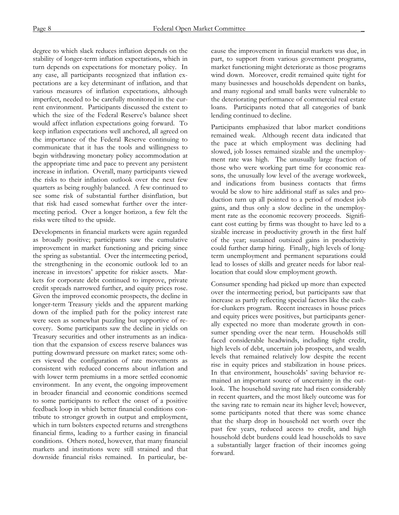degree to which slack reduces inflation depends on the stability of longer-term inflation expectations, which in turn depends on expectations for monetary policy. In any case, all participants recognized that inflation expectations are a key determinant of inflation, and that various measures of inflation expectations, although imperfect, needed to be carefully monitored in the current environment. Participants discussed the extent to which the size of the Federal Reserve's balance sheet would affect inflation expectations going forward. To keep inflation expectations well anchored, all agreed on the importance of the Federal Reserve continuing to communicate that it has the tools and willingness to begin withdrawing monetary policy accommodation at the appropriate time and pace to prevent any persistent increase in inflation. Overall, many participants viewed the risks to their inflation outlook over the next few quarters as being roughly balanced. A few continued to see some risk of substantial further disinflation, but that risk had eased somewhat further over the intermeeting period. Over a longer horizon, a few felt the risks were tilted to the upside.

Developments in financial markets were again regarded as broadly positive; participants saw the cumulative improvement in market functioning and pricing since the spring as substantial. Over the intermeeting period, the strengthening in the economic outlook led to an increase in investors' appetite for riskier assets. Markets for corporate debt continued to improve, private credit spreads narrowed further, and equity prices rose. Given the improved economic prospects, the decline in longer-term Treasury yields and the apparent marking down of the implied path for the policy interest rate were seen as somewhat puzzling but supportive of recovery. Some participants saw the decline in yields on Treasury securities and other instruments as an indication that the expansion of excess reserve balances was putting downward pressure on market rates; some others viewed the configuration of rate movements as consistent with reduced concerns about inflation and with lower term premiums in a more settled economic environment. In any event, the ongoing improvement in broader financial and economic conditions seemed to some participants to reflect the onset of a positive feedback loop in which better financial conditions contribute to stronger growth in output and employment, which in turn bolsters expected returns and strengthens financial firms, leading to a further easing in financial conditions. Others noted, however, that many financial markets and institutions were still strained and that downside financial risks remained. In particular, because the improvement in financial markets was due, in part, to support from various government programs, market functioning might deteriorate as those programs wind down. Moreover, credit remained quite tight for many businesses and households dependent on banks, and many regional and small banks were vulnerable to the deteriorating performance of commercial real estate loans. Participants noted that all categories of bank lending continued to decline.

Participants emphasized that labor market conditions remained weak. Although recent data indicated that the pace at which employment was declining had slowed, job losses remained sizable and the unemployment rate was high. The unusually large fraction of those who were working part time for economic reasons, the unusually low level of the average workweek, and indications from business contacts that firms would be slow to hire additional staff as sales and production turn up all pointed to a period of modest job gains, and thus only a slow decline in the unemployment rate as the economic recovery proceeds. Significant cost cutting by firms was thought to have led to a sizable increase in productivity growth in the first half of the year; sustained outsized gains in productivity could further damp hiring. Finally, high levels of longterm unemployment and permanent separations could lead to losses of skills and greater needs for labor reallocation that could slow employment growth.

Consumer spending had picked up more than expected over the intermeeting period, but participants saw that increase as partly reflecting special factors like the cashfor-clunkers program. Recent increases in house prices and equity prices were positives, but participants generally expected no more than moderate growth in consumer spending over the near term. Households still faced considerable headwinds, including tight credit, high levels of debt, uncertain job prospects, and wealth levels that remained relatively low despite the recent rise in equity prices and stabilization in house prices. In that environment, households' saving behavior remained an important source of uncertainty in the outlook. The household saving rate had risen considerably in recent quarters, and the most likely outcome was for the saving rate to remain near its higher level; however, some participants noted that there was some chance that the sharp drop in household net worth over the past few years, reduced access to credit, and high household debt burdens could lead households to save a substantially larger fraction of their incomes going forward.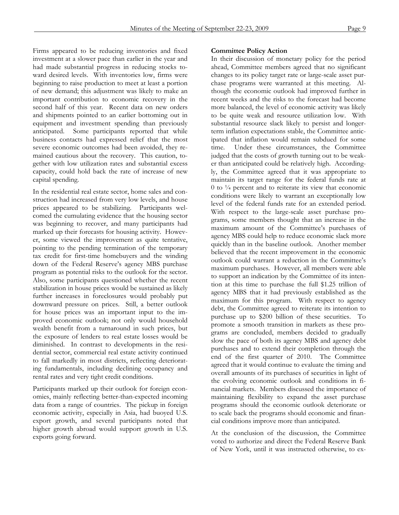Firms appeared to be reducing inventories and fixed investment at a slower pace than earlier in the year and had made substantial progress in reducing stocks toward desired levels. With inventories low, firms were beginning to raise production to meet at least a portion of new demand; this adjustment was likely to make an important contribution to economic recovery in the second half of this year. Recent data on new orders and shipments pointed to an earlier bottoming out in equipment and investment spending than previously anticipated. Some participants reported that while business contacts had expressed relief that the most severe economic outcomes had been avoided, they remained cautious about the recovery. This caution, together with low utilization rates and substantial excess capacity, could hold back the rate of increase of new capital spending.

In the residential real estate sector, home sales and construction had increased from very low levels, and house prices appeared to be stabilizing. Participants welcomed the cumulating evidence that the housing sector was beginning to recover, and many participants had marked up their forecasts for housing activity. However, some viewed the improvement as quite tentative, pointing to the pending termination of the temporary tax credit for first-time homebuyers and the winding down of the Federal Reserve's agency MBS purchase program as potential risks to the outlook for the sector. Also, some participants questioned whether the recent stabilization in house prices would be sustained as likely further increases in foreclosures would probably put downward pressure on prices. Still, a better outlook for house prices was an important input to the improved economic outlook; not only would household wealth benefit from a turnaround in such prices, but the exposure of lenders to real estate losses would be diminished. In contrast to developments in the residential sector, commercial real estate activity continued to fall markedly in most districts, reflecting deteriorating fundamentals, including declining occupancy and rental rates and very tight credit conditions.

Participants marked up their outlook for foreign economies, mainly reflecting better-than-expected incoming data from a range of countries. The pickup in foreign economic activity, especially in Asia, had buoyed U.S. export growth, and several participants noted that higher growth abroad would support growth in U.S. exports going forward.

#### **Committee Policy Action**

In their discussion of monetary policy for the period ahead, Committee members agreed that no significant changes to its policy target rate or large-scale asset purchase programs were warranted at this meeting. Although the economic outlook had improved further in recent weeks and the risks to the forecast had become more balanced, the level of economic activity was likely to be quite weak and resource utilization low. With substantial resource slack likely to persist and longerterm inflation expectations stable, the Committee anticipated that inflation would remain subdued for some time. Under these circumstances, the Committee judged that the costs of growth turning out to be weaker than anticipated could be relatively high. Accordingly, the Committee agreed that it was appropriate to maintain its target range for the federal funds rate at  $0$  to  $\frac{1}{4}$  percent and to reiterate its view that economic conditions were likely to warrant an exceptionally low level of the federal funds rate for an extended period. With respect to the large-scale asset purchase programs, some members thought that an increase in the maximum amount of the Committee's purchases of agency MBS could help to reduce economic slack more quickly than in the baseline outlook. Another member believed that the recent improvement in the economic outlook could warrant a reduction in the Committee's maximum purchases. However, all members were able to support an indication by the Committee of its intention at this time to purchase the full \$1.25 trillion of agency MBS that it had previously established as the maximum for this program. With respect to agency debt, the Committee agreed to reiterate its intention to purchase up to \$200 billion of these securities. To promote a smooth transition in markets as these programs are concluded, members decided to gradually slow the pace of both its agency MBS and agency debt purchases and to extend their completion through the end of the first quarter of 2010. The Committee agreed that it would continue to evaluate the timing and overall amounts of its purchases of securities in light of the evolving economic outlook and conditions in financial markets. Members discussed the importance of maintaining flexibility to expand the asset purchase programs should the economic outlook deteriorate or to scale back the programs should economic and financial conditions improve more than anticipated.

At the conclusion of the discussion, the Committee voted to authorize and direct the Federal Reserve Bank of New York, until it was instructed otherwise, to ex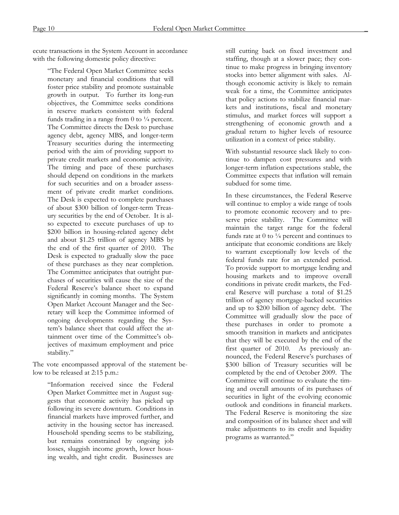ecute transactions in the System Account in accordance with the following domestic policy directive:

"The Federal Open Market Committee seeks monetary and financial conditions that will foster price stability and promote sustainable growth in output. To further its long-run objectives, the Committee seeks conditions in reserve markets consistent with federal funds trading in a range from  $0$  to  $\frac{1}{4}$  percent. The Committee directs the Desk to purchase agency debt, agency MBS, and longer-term Treasury securities during the intermeeting period with the aim of providing support to private credit markets and economic activity. The timing and pace of these purchases should depend on conditions in the markets for such securities and on a broader assessment of private credit market conditions. The Desk is expected to complete purchases of about \$300 billion of longer-term Treasury securities by the end of October. It is also expected to execute purchases of up to \$200 billion in housing-related agency debt and about \$1.25 trillion of agency MBS by the end of the first quarter of 2010. The Desk is expected to gradually slow the pace of these purchases as they near completion. The Committee anticipates that outright purchases of securities will cause the size of the Federal Reserve's balance sheet to expand significantly in coming months. The System Open Market Account Manager and the Secretary will keep the Committee informed of ongoing developments regarding the System's balance sheet that could affect the attainment over time of the Committee's objectives of maximum employment and price stability."

The vote encompassed approval of the statement below to be released at 2:15 p.m.:

"Information received since the Federal Open Market Committee met in August suggests that economic activity has picked up following its severe downturn. Conditions in financial markets have improved further, and activity in the housing sector has increased. Household spending seems to be stabilizing, but remains constrained by ongoing job losses, sluggish income growth, lower housing wealth, and tight credit. Businesses are still cutting back on fixed investment and staffing, though at a slower pace; they continue to make progress in bringing inventory stocks into better alignment with sales. Although economic activity is likely to remain weak for a time, the Committee anticipates that policy actions to stabilize financial markets and institutions, fiscal and monetary stimulus, and market forces will support a strengthening of economic growth and a gradual return to higher levels of resource utilization in a context of price stability.

With substantial resource slack likely to continue to dampen cost pressures and with longer-term inflation expectations stable, the Committee expects that inflation will remain subdued for some time.

In these circumstances, the Federal Reserve will continue to employ a wide range of tools to promote economic recovery and to preserve price stability. The Committee will maintain the target range for the federal funds rate at  $0$  to  $\frac{1}{4}$  percent and continues to anticipate that economic conditions are likely to warrant exceptionally low levels of the federal funds rate for an extended period. To provide support to mortgage lending and housing markets and to improve overall conditions in private credit markets, the Federal Reserve will purchase a total of \$1.25 trillion of agency mortgage-backed securities and up to \$200 billion of agency debt. The Committee will gradually slow the pace of these purchases in order to promote a smooth transition in markets and anticipates that they will be executed by the end of the first quarter of 2010. As previously announced, the Federal Reserve's purchases of \$300 billion of Treasury securities will be completed by the end of October 2009. The Committee will continue to evaluate the timing and overall amounts of its purchases of securities in light of the evolving economic outlook and conditions in financial markets. The Federal Reserve is monitoring the size and composition of its balance sheet and will make adjustments to its credit and liquidity programs as warranted."